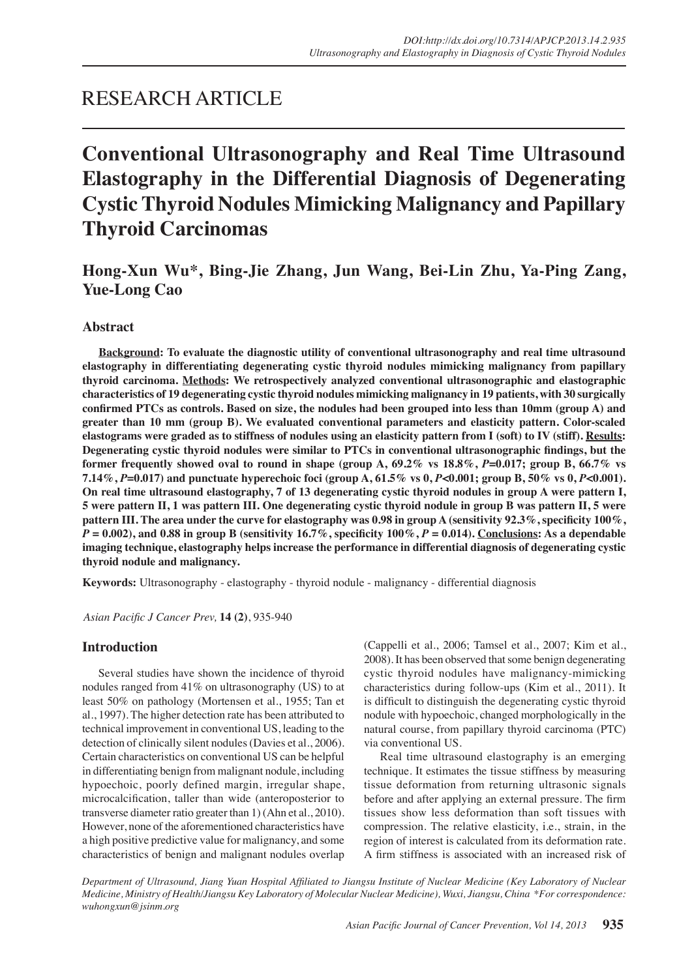# RESEARCH ARTICLE

# **Conventional Ultrasonography and Real Time Ultrasound Elastography in the Differential Diagnosis of Degenerating Cystic Thyroid Nodules Mimicking Malignancy and Papillary Thyroid Carcinomas**

# **Hong-Xun Wu\*, Bing-Jie Zhang, Jun Wang, Bei-Lin Zhu, Ya-Ping Zang, Yue-Long Cao**

# **Abstract**

**Background: To evaluate the diagnostic utility of conventional ultrasonography and real time ultrasound elastography in differentiating degenerating cystic thyroid nodules mimicking malignancy from papillary thyroid carcinoma. Methods: We retrospectively analyzed conventional ultrasonographic and elastographic characteristics of 19 degenerating cystic thyroid nodules mimicking malignancy in 19 patients, with 30 surgically confirmed PTCs as controls. Based on size, the nodules had been grouped into less than 10mm (group A) and greater than 10 mm (group B). We evaluated conventional parameters and elasticity pattern. Color-scaled elastograms were graded as to stiffness of nodules using an elasticity pattern from I (soft) to IV (stiff). Results: Degenerating cystic thyroid nodules were similar to PTCs in conventional ultrasonographic findings, but the former frequently showed oval to round in shape (group A,**  $69.2\%$  **vs**  $18.8\%, P=0.017$ **; group B,**  $66.7\%$  **vs 7.14%,** *P***=0.017) and punctuate hyperechoic foci (group A, 61.5% vs 0,** *P***<0.001; group B, 50% vs 0,** *P***<0.001). On real time ultrasound elastography, 7 of 13 degenerating cystic thyroid nodules in group A were pattern I, 5 were pattern II, 1 was pattern III. One degenerating cystic thyroid nodule in group B was pattern II, 5 were pattern III. The area under the curve for elastography was 0.98 in group A (sensitivity 92.3%, specificity 100%,**   $P = 0.002$ , and 0.88 in group B (sensitivity 16.7%, specificity  $100\%$ ,  $P = 0.014$ ). Conclusions: As a dependable **imaging technique, elastography helps increase the performance in differential diagnosis of degenerating cystic thyroid nodule and malignancy.**

**Keywords:** Ultrasonography - elastography - thyroid nodule - malignancy - differential diagnosis

*Asian Pacific J Cancer Prev,* **14 (2)**, 935-940

#### **Introduction**

Several studies have shown the incidence of thyroid nodules ranged from 41% on ultrasonography (US) to at least 50% on pathology (Mortensen et al., 1955; Tan et al., 1997). The higher detection rate has been attributed to technical improvement in conventional US, leading to the detection of clinically silent nodules (Davies et al., 2006). Certain characteristics on conventional US can be helpful in differentiating benign from malignant nodule, including hypoechoic, poorly defined margin, irregular shape, microcalcification, taller than wide (anteroposterior to transverse diameter ratio greater than 1) (Ahn et al., 2010). However, none of the aforementioned characteristics have a high positive predictive value for malignancy, and some characteristics of benign and malignant nodules overlap

(Cappelli et al., 2006; Tamsel et al., 2007; Kim et al., 2008). It has been observed that some benign degenerating cystic thyroid nodules have malignancy-mimicking characteristics during follow-ups (Kim et al., 2011). It is difficult to distinguish the degenerating cystic thyroid nodule with hypoechoic, changed morphologically in the natural course, from papillary thyroid carcinoma (PTC) via conventional US.

Real time ultrasound elastography is an emerging technique. It estimates the tissue stiffness by measuring tissue deformation from returning ultrasonic signals before and after applying an external pressure. The firm tissues show less deformation than soft tissues with compression. The relative elasticity, i.e., strain, in the region of interest is calculated from its deformation rate. A firm stiffness is associated with an increased risk of

*Department of Ultrasound, Jiang Yuan Hospital Affiliated to Jiangsu Institute of Nuclear Medicine (Key Laboratory of Nuclear Medicine, Ministry of Health/Jiangsu Key Laboratory of Molecular Nuclear Medicine), Wuxi, Jiangsu, China \*For correspondence: wuhongxun@jsinm.org*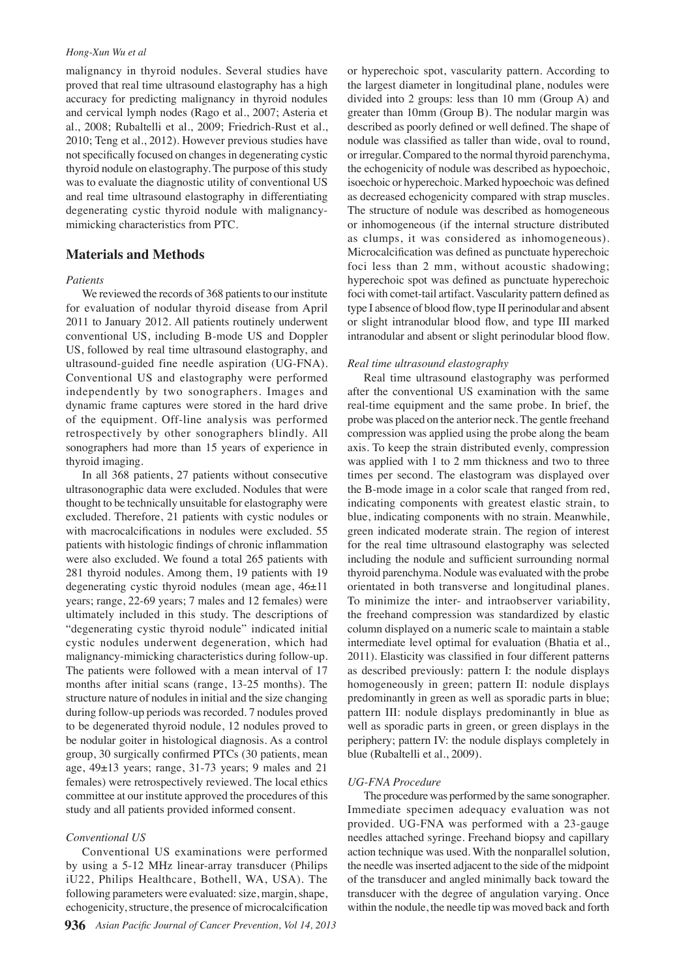#### *Hong-Xun Wu et al*

malignancy in thyroid nodules. Several studies have proved that real time ultrasound elastography has a high accuracy for predicting malignancy in thyroid nodules and cervical lymph nodes (Rago et al., 2007; Asteria et al., 2008; Rubaltelli et al., 2009; Friedrich-Rust et al., 2010; Teng et al., 2012). However previous studies have not specifically focused on changes in degenerating cystic thyroid nodule on elastography. The purpose of this study was to evaluate the diagnostic utility of conventional US and real time ultrasound elastography in differentiating degenerating cystic thyroid nodule with malignancymimicking characteristics from PTC.

# **Materials and Methods**

#### *Patients*

We reviewed the records of 368 patients to our institute for evaluation of nodular thyroid disease from April 2011 to January 2012. All patients routinely underwent conventional US, including B-mode US and Doppler US, followed by real time ultrasound elastography, and ultrasound-guided fine needle aspiration (UG-FNA). Conventional US and elastography were performed independently by two sonographers. Images and dynamic frame captures were stored in the hard drive of the equipment. Off-line analysis was performed retrospectively by other sonographers blindly. All sonographers had more than 15 years of experience in thyroid imaging.

In all 368 patients, 27 patients without consecutive ultrasonographic data were excluded. Nodules that were thought to be technically unsuitable for elastography were excluded. Therefore, 21 patients with cystic nodules or with macrocalcifications in nodules were excluded. 55 patients with histologic findings of chronic inflammation were also excluded. We found a total 265 patients with 281 thyroid nodules. Among them, 19 patients with 19 degenerating cystic thyroid nodules (mean age, 46±11 years; range, 22-69 years; 7 males and 12 females) were ultimately included in this study. The descriptions of "degenerating cystic thyroid nodule" indicated initial cystic nodules underwent degeneration, which had malignancy-mimicking characteristics during follow-up. The patients were followed with a mean interval of 17 months after initial scans (range, 13-25 months). The structure nature of nodules in initial and the size changing during follow-up periods was recorded. 7 nodules proved to be degenerated thyroid nodule, 12 nodules proved to be nodular goiter in histological diagnosis. As a control group, 30 surgically confirmed PTCs (30 patients, mean age, 49±13 years; range, 31-73 years; 9 males and 21 females) were retrospectively reviewed. The local ethics committee at our institute approved the procedures of this study and all patients provided informed consent.

#### *Conventional US*

Conventional US examinations were performed by using a 5-12 MHz linear-array transducer (Philips iU22, Philips Healthcare, Bothell, WA, USA). The following parameters were evaluated: size, margin, shape, echogenicity, structure, the presence of microcalcification

or hyperechoic spot, vascularity pattern. According to the largest diameter in longitudinal plane, nodules were divided into 2 groups: less than 10 mm (Group A) and greater than 10mm (Group B). The nodular margin was described as poorly defined or well defined. The shape of nodule was classified as taller than wide, oval to round, or irregular. Compared to the normal thyroid parenchyma, the echogenicity of nodule was described as hypoechoic, isoechoic or hyperechoic. Marked hypoechoic was defined as decreased echogenicity compared with strap muscles. The structure of nodule was described as homogeneous or inhomogeneous (if the internal structure distributed as clumps, it was considered as inhomogeneous). Microcalcification was defined as punctuate hyperechoic foci less than 2 mm, without acoustic shadowing; hyperechoic spot was defined as punctuate hyperechoic foci with comet-tail artifact. Vascularity pattern defined as type I absence of blood flow, type II perinodular and absent or slight intranodular blood flow, and type III marked intranodular and absent or slight perinodular blood flow.

#### *Real time ultrasound elastography*

Real time ultrasound elastography was performed after the conventional US examination with the same real-time equipment and the same probe. In brief, the probe was placed on the anterior neck. The gentle freehand compression was applied using the probe along the beam axis. To keep the strain distributed evenly, compression was applied with 1 to 2 mm thickness and two to three times per second. The elastogram was displayed over the B-mode image in a color scale that ranged from red, indicating components with greatest elastic strain, to blue, indicating components with no strain. Meanwhile, green indicated moderate strain. The region of interest for the real time ultrasound elastography was selected including the nodule and sufficient surrounding normal thyroid parenchyma. Nodule was evaluated with the probe orientated in both transverse and longitudinal planes. To minimize the inter- and intraobserver variability, the freehand compression was standardized by elastic column displayed on a numeric scale to maintain a stable intermediate level optimal for evaluation (Bhatia et al., 2011). Elasticity was classified in four different patterns as described previously: pattern I: the nodule displays homogeneously in green; pattern II: nodule displays predominantly in green as well as sporadic parts in blue; pattern III: nodule displays predominantly in blue as well as sporadic parts in green, or green displays in the periphery; pattern IV: the nodule displays completely in blue (Rubaltelli et al., 2009).

#### *UG-FNA Procedure*

The procedure was performed by the same sonographer. Immediate specimen adequacy evaluation was not provided. UG-FNA was performed with a 23-gauge needles attached syringe. Freehand biopsy and capillary action technique was used. With the nonparallel solution, the needle was inserted adjacent to the side of the midpoint of the transducer and angled minimally back toward the transducer with the degree of angulation varying. Once within the nodule, the needle tip was moved back and forth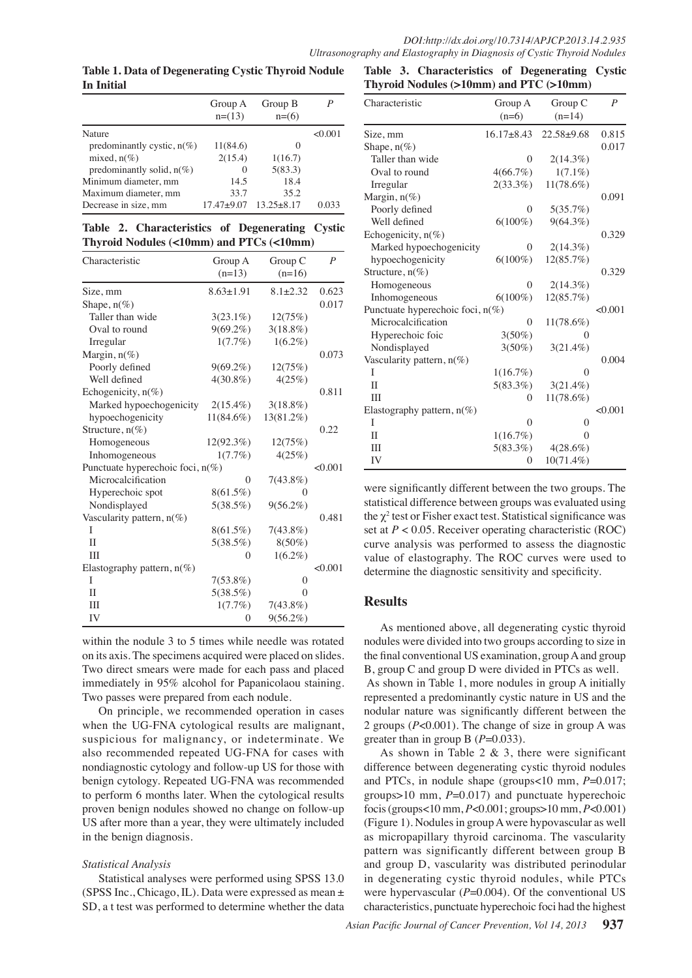**Table 1. Data of Degenerating Cystic Thyroid Nodule In Initial**

|                               | Group A<br>$n=(13)$ | Group B<br>$n=(6)$ | Р       |
|-------------------------------|---------------------|--------------------|---------|
| Nature                        |                     |                    | < 0.001 |
| predominantly cystic, $n(\%)$ | 11(84.6)            | $\mathcal{L}$      |         |
| mixed, $n(\%)$                | 2(15.4)             | 1(16.7)            |         |
| predominantly solid, $n(\%)$  | $\theta$            | 5(83.3)            |         |
| Minimum diameter, mm          | 14.5                | 18.4               |         |
| Maximum diameter, mm          | 33.7                | 35.2               |         |
| Decrease in size, mm          | $17.47 + 9.07$      | $13.25 + 8.17$     | 0.033   |

**Table 2. Characteristics of Degenerating Cystic Thyroid Nodules (<10mm) and PTCs (<10mm)**

| Characteristic                   | Group A<br>$(n=13)$ | Group C<br>$(n=16)$ | $\boldsymbol{P}$ |
|----------------------------------|---------------------|---------------------|------------------|
| Size, mm                         | $8.63 \pm 1.91$     | $8.1 \pm 2.32$      | 0.623            |
| Shape, $n(\%)$                   |                     |                     | 0.017            |
| Taller than wide                 | $3(23.1\%)$         | 12(75%)             |                  |
| Oval to round                    | $9(69.2\%)$         | $3(18.8\%)$         |                  |
| Irregular                        | $1(7.7\%)$          | $1(6.2\%)$          |                  |
| Margin, $n(\%)$                  |                     |                     | 0.073            |
| Poorly defined                   | $9(69.2\%)$         | 12(75%)             |                  |
| Well defined                     | $4(30.8\%)$         | 4(25%)              |                  |
| Echogenicity, n(%)               |                     |                     | 0.811            |
| Marked hypoechogenicity          | $2(15.4\%)$         | $3(18.8\%)$         |                  |
| hypoechogenicity                 | $11(84.6\%)$        | 13(81.2%)           |                  |
| Structure, n(%)                  |                     |                     | 0.22             |
| Homogeneous                      | $12(92.3\%)$        | 12(75%)             |                  |
| Inhomogeneous                    | 1(7.7%)             | 4(25%)              |                  |
| Punctuate hyperechoic foci, n(%) |                     |                     |                  |
| Microcalcification               | 0                   | $7(43.8\%)$         | < 0.001          |
| Hyperechoic spot                 | $8(61.5\%)$         | $\Omega$            |                  |
| Nondisplayed                     | 5(38.5%)            | $9(56.2\%)$         |                  |
| Vascularity pattern, $n(\%)$     |                     |                     | 0.481            |
| I                                | $8(61.5\%)$         | $7(43.8\%)$         |                  |
| $\mathbf{I}$                     | 5(38.5%)            | $8(50\%)$           |                  |
| Ш                                | 0                   | $1(6.2\%)$          |                  |
| Elastography pattern, $n(\%)$    |                     |                     | < 0.001          |
| I                                | $7(53.8\%)$         | 0                   |                  |
| $\mathbf{I}$                     | 5(38.5%)            | $\Omega$            |                  |
| Ш                                | 1(7.7%)             | $7(43.8\%)$         |                  |
| IV                               | $\theta$            | $9(56.2\%)$         |                  |

within the nodule 3 to 5 times while needle was rotated on its axis. The specimens acquired were placed on slides. Two direct smears were made for each pass and placed immediately in 95% alcohol for Papanicolaou staining. Two passes were prepared from each nodule.

On principle, we recommended operation in cases when the UG-FNA cytological results are malignant, suspicious for malignancy, or indeterminate. We also recommended repeated UG-FNA for cases with nondiagnostic cytology and follow-up US for those with benign cytology. Repeated UG-FNA was recommended to perform 6 months later. When the cytological results proven benign nodules showed no change on follow-up US after more than a year, they were ultimately included in the benign diagnosis.

# *Statistical Analysis*

Statistical analyses were performed using SPSS 13.0 (SPSS Inc., Chicago, IL). Data were expressed as mean ± SD, a t test was performed to determine whether the data

**Table 3. Characteristics of Degenerating Cystic Thyroid Nodules (>10mm) and PTC (>10mm)**

| Characteristic                      | Group A          | Group C          | $\boldsymbol{P}$ |       |
|-------------------------------------|------------------|------------------|------------------|-------|
|                                     | $(n=6)$          | $(n=14)$         |                  |       |
| Size, mm                            | $16.17 \pm 8.43$ | $22.58 \pm 9.68$ | 0.815            |       |
| Shape, $n(\%)$                      |                  |                  | 0.017            |       |
| Taller than wide                    | 0                | $2(14.3\%)$      |                  |       |
| Oval to round                       | $4(66.7\%)$      | $1(7.1\%)$       |                  |       |
| Irregular                           | $2(33.3\%)$      | 11(78.6%)        |                  |       |
| Margin, $n(\%)$                     |                  |                  | 0.091            |       |
| Poorly defined                      | 0                | 5(35.7%)         |                  | 100.0 |
| Well defined                        | $6(100\%)$       | $9(64.3\%)$      |                  |       |
| Echogenicity, $n(\%)$               |                  |                  | 0.329            |       |
| Marked hypoechogenicity             | $\theta$         | $2(14.3\%)$      |                  |       |
| hypoechogenicity                    | $6(100\%)$       | 12(85.7%)        |                  | 75.0  |
| Structure, $n(\%)$                  |                  |                  | 0.329            |       |
| Homogeneous                         | $\theta$         | $2(14.3\%)$      |                  |       |
| Inhomogeneous                       | $6(100\%)$       | 12(85.7%)        |                  |       |
| Punctuate hyperechoic foci, $n(\%)$ |                  |                  | $_{<0.001}$ 50.0 |       |
| Microcalcification                  | $\Omega$         | $11(78.6\%)$     |                  |       |
| Hyperechoic foic                    | $3(50\%)$        | 0                |                  |       |
| Nondisplayed                        | $3(50\%)$        | $3(21.4\%)$      |                  |       |
| Vascularity pattern, $n(\%)$        |                  |                  | $_{0.004}$ 25.0  |       |
| I                                   | $1(16.7\%)$      | 0                |                  |       |
| $\mathbf{I}$                        | $5(83.3\%)$      | $3(21.4\%)$      |                  |       |
| Ш                                   | $\theta$         | $11(78.6\%)$     |                  | 0     |
| Elastography pattern, $n(\%)$       |                  |                  | < 0.001          |       |
| I                                   | $\theta$         | 0                |                  |       |
| П                                   | $1(16.7\%)$      | $\theta$         |                  |       |
| Ш                                   | $5(83.3\%)$      | $4(28.6\%)$      |                  |       |
| IV                                  | $\boldsymbol{0}$ | 10(71.4%)        |                  |       |

were significantly different between the two groups. The statistical difference between groups was evaluated using the  $\chi^2$  test or Fisher exact test. Statistical significance was set at  $P < 0.05$ . Receiver operating characteristic (ROC) curve analysis was performed to assess the diagnostic value of elastography. The ROC curves were used to determine the diagnostic sensitivity and specificity.

# **Results**

As mentioned above, all degenerating cystic thyroid nodules were divided into two groups according to size in the final conventional US examination, group A and group B, group C and group D were divided in PTCs as well. As shown in Table 1, more nodules in group A initially represented a predominantly cystic nature in US and the nodular nature was significantly different between the 2 groups (*P*<0.001). The change of size in group A was greater than in group B (*P*=0.033).

As shown in Table 2  $\&$  3, there were significant difference between degenerating cystic thyroid nodules and PTCs, in nodule shape (groups<10 mm, *P*=0.017; groups>10 mm, *P*=0.017) and punctuate hyperechoic focis (groups<10 mm, *P*<0.001; groups>10 mm, *P*<0.001) (Figure 1). Nodules in group A were hypovascular as well as micropapillary thyroid carcinoma. The vascularity pattern was significantly different between group B and group D, vascularity was distributed perinodular in degenerating cystic thyroid nodules, while PTCs were hypervascular ( $P=0.004$ ). Of the conventional US characteristics, punctuate hyperechoic foci had the highest **20.3 6.3 10.1**

**46.8 56.3**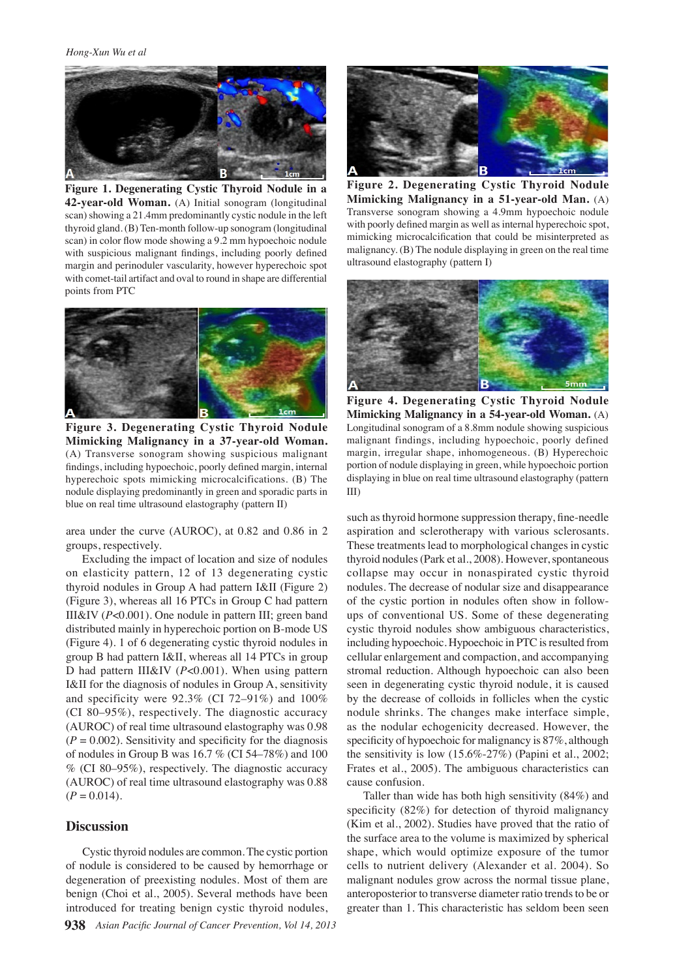

**Figure 1. Degenerating Cystic Thyroid Nodule in a 42-year-old Woman.** (A) Initial sonogram (longitudinal scan) showing a 21.4mm predominantly cystic nodule in the left thyroid gland. (B) Ten-month follow-up sonogram (longitudinal scan) in color flow mode showing a 9.2 mm hypoechoic nodule with suspicious malignant findings, including poorly defined margin and perinoduler vascularity, however hyperechoic spot with comet-tail artifact and oval to round in shape are differential points from PTC



**Figure 3. Degenerating Cystic Thyroid Nodule Mimicking Malignancy in a 37-year-old Woman.**  (A) Transverse sonogram showing suspicious malignant findings, including hypoechoic, poorly defined margin, internal hyperechoic spots mimicking microcalcifications. (B) The nodule displaying predominantly in green and sporadic parts in blue on real time ultrasound elastography (pattern II)

area under the curve (AUROC), at 0.82 and 0.86 in 2 groups, respectively.

Excluding the impact of location and size of nodules on elasticity pattern, 12 of 13 degenerating cystic thyroid nodules in Group A had pattern I&II (Figure 2) (Figure 3), whereas all 16 PTCs in Group C had pattern III&IV (*P*<0.001). One nodule in pattern III; green band distributed mainly in hyperechoic portion on B-mode US (Figure 4). 1 of 6 degenerating cystic thyroid nodules in group B had pattern I&II, whereas all 14 PTCs in group D had pattern III&IV (*P*<0.001). When using pattern I&II for the diagnosis of nodules in Group A, sensitivity and specificity were 92.3% (CI 72–91%) and 100% (CI 80–95%), respectively. The diagnostic accuracy (AUROC) of real time ultrasound elastography was 0.98  $(P = 0.002)$ . Sensitivity and specificity for the diagnosis of nodules in Group B was 16.7 % (CI 54–78%) and 100 % (CI 80–95%), respectively. The diagnostic accuracy (AUROC) of real time ultrasound elastography was 0.88  $(P = 0.014)$ .

### **Discussion**

Cystic thyroid nodules are common. The cystic portion of nodule is considered to be caused by hemorrhage or degeneration of preexisting nodules. Most of them are benign (Choi et al., 2005). Several methods have been introduced for treating benign cystic thyroid nodules,



**Figure 2. Degenerating Cystic Thyroid Nodule Mimicking Malignancy in a 51-year-old Man.** (A) Transverse sonogram showing a 4.9mm hypoechoic nodule with poorly defined margin as well as internal hyperechoic spot, mimicking microcalcification that could be misinterpreted as malignancy. (B) The nodule displaying in green on the real time ultrasound elastography (pattern I)



**Figure 4. Degenerating Cystic Thyroid Nodule Mimicking Malignancy in a 54-year-old Woman.** (A) Longitudinal sonogram of a 8.8mm nodule showing suspicious malignant findings, including hypoechoic, poorly defined margin, irregular shape, inhomogeneous. (B) Hyperechoic portion of nodule displaying in green, while hypoechoic portion displaying in blue on real time ultrasound elastography (pattern III)

such as thyroid hormone suppression therapy, fine-needle aspiration and sclerotherapy with various sclerosants. These treatments lead to morphological changes in cystic thyroid nodules (Park et al., 2008). However, spontaneous collapse may occur in nonaspirated cystic thyroid nodules. The decrease of nodular size and disappearance of the cystic portion in nodules often show in followups of conventional US. Some of these degenerating cystic thyroid nodules show ambiguous characteristics, including hypoechoic. Hypoechoic in PTC is resulted from cellular enlargement and compaction, and accompanying stromal reduction. Although hypoechoic can also been seen in degenerating cystic thyroid nodule, it is caused by the decrease of colloids in follicles when the cystic nodule shrinks. The changes make interface simple, as the nodular echogenicity decreased. However, the specificity of hypoechoic for malignancy is 87%, although the sensitivity is low (15.6%-27%) (Papini et al., 2002; Frates et al., 2005). The ambiguous characteristics can cause confusion.

Taller than wide has both high sensitivity (84%) and specificity (82%) for detection of thyroid malignancy (Kim et al., 2002). Studies have proved that the ratio of the surface area to the volume is maximized by spherical shape, which would optimize exposure of the tumor cells to nutrient delivery (Alexander et al. 2004). So malignant nodules grow across the normal tissue plane, anteroposterior to transverse diameter ratio trends to be or greater than 1. This characteristic has seldom been seen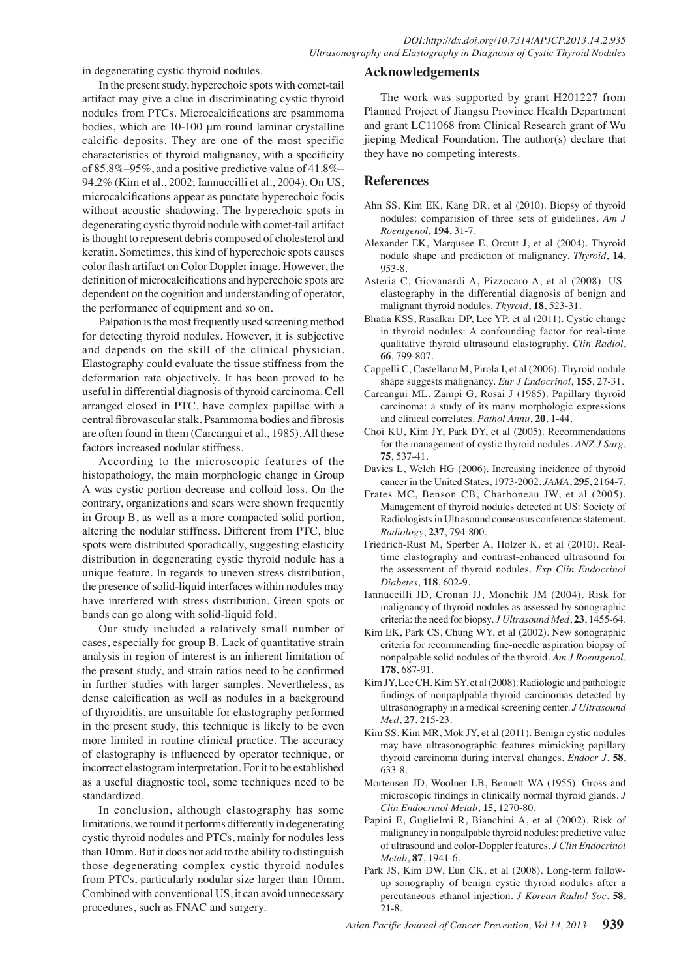in degenerating cystic thyroid nodules.

In the present study, hyperechoic spots with comet-tail artifact may give a clue in discriminating cystic thyroid nodules from PTCs. Microcalcifications are psammoma bodies, which are 10-100 μm round laminar crystalline calcific deposits. They are one of the most specific characteristics of thyroid malignancy, with a specificity of 85.8%–95%, and a positive predictive value of 41.8%– 94.2% (Kim et al., 2002; Iannuccilli et al., 2004). On US, microcalcifications appear as punctate hyperechoic focis without acoustic shadowing. The hyperechoic spots in degenerating cystic thyroid nodule with comet-tail artifact is thought to represent debris composed of cholesterol and keratin. Sometimes, this kind of hyperechoic spots causes color flash artifact on Color Doppler image. However, the definition of microcalcifications and hyperechoic spots are dependent on the cognition and understanding of operator, the performance of equipment and so on.

Palpation is the most frequently used screening method for detecting thyroid nodules. However, it is subjective and depends on the skill of the clinical physician. Elastography could evaluate the tissue stiffness from the deformation rate objectively. It has been proved to be useful in differential diagnosis of thyroid carcinoma. Cell arranged closed in PTC, have complex papillae with a central fibrovascular stalk. Psammoma bodies and fibrosis are often found in them (Carcangui et al., 1985). All these factors increased nodular stiffness.

According to the microscopic features of the histopathology, the main morphologic change in Group A was cystic portion decrease and colloid loss. On the contrary, organizations and scars were shown frequently in Group B, as well as a more compacted solid portion, altering the nodular stiffness. Different from PTC, blue spots were distributed sporadically, suggesting elasticity distribution in degenerating cystic thyroid nodule has a unique feature. In regards to uneven stress distribution, the presence of solid-liquid interfaces within nodules may have interfered with stress distribution. Green spots or bands can go along with solid-liquid fold.

Our study included a relatively small number of cases, especially for group B. Lack of quantitative strain analysis in region of interest is an inherent limitation of the present study, and strain ratios need to be confirmed in further studies with larger samples. Nevertheless, as dense calcification as well as nodules in a background of thyroiditis, are unsuitable for elastography performed in the present study, this technique is likely to be even more limited in routine clinical practice. The accuracy of elastography is influenced by operator technique, or incorrect elastogram interpretation. For it to be established as a useful diagnostic tool, some techniques need to be standardized.

In conclusion, although elastography has some limitations, we found it performs differently in degenerating cystic thyroid nodules and PTCs, mainly for nodules less than 10mm. But it does not add to the ability to distinguish those degenerating complex cystic thyroid nodules from PTCs, particularly nodular size larger than 10mm. Combined with conventional US, it can avoid unnecessary procedures, such as FNAC and surgery.

# **Acknowledgements**

The work was supported by grant H201227 from Planned Project of Jiangsu Province Health Department and grant LC11068 from Clinical Research grant of Wu jieping Medical Foundation. The author(s) declare that they have no competing interests.

# **References**

- Ahn SS, Kim EK, Kang DR, et al (2010). Biopsy of thyroid nodules: comparision of three sets of guidelines. *Am J Roentgenol*, **194**, 31-7.
- Alexander EK, Marqusee E, Orcutt J, et al (2004). Thyroid nodule shape and prediction of malignancy. *Thyroid*, **14**, 953-8.
- Asteria C, Giovanardi A, Pizzocaro A, et al (2008). USelastography in the differential diagnosis of benign and malignant thyroid nodules. *Thyroid*, **18**, 523-31.
- Bhatia KSS, Rasalkar DP, Lee YP, et al (2011). Cystic change in thyroid nodules: A confounding factor for real-time qualitative thyroid ultrasound elastography. *Clin Radiol*, **66**, 799-807.
- Cappelli C, Castellano M, Pirola I, et al (2006). Thyroid nodule shape suggests malignancy. *Eur J Endocrinol*, **155**, 27-31.
- Carcangui ML, Zampi G, Rosai J (1985). Papillary thyroid carcinoma: a study of its many morphologic expressions and clinical correlates. *Pathol Annu*, **20**, 1-44.
- Choi KU, Kim JY, Park DY, et al (2005). Recommendations for the management of cystic thyroid nodules. *ANZ J Surg*, **75**, 537-41.
- Davies L, Welch HG (2006). Increasing incidence of thyroid cancer in the United States, 1973-2002. *JAMA*, **295**, 2164-7.
- Frates MC, Benson CB, Charboneau JW, et al (2005). Management of thyroid nodules detected at US: Society of Radiologists in Ultrasound consensus conference statement. *Radiology*, **237**, 794-800.
- Friedrich-Rust M, Sperber A, Holzer K, et al (2010). Realtime elastography and contrast-enhanced ultrasound for the assessment of thyroid nodules. *Exp Clin Endocrinol Diabetes*, **118**, 602-9.
- Iannuccilli JD, Cronan JJ, Monchik JM (2004). Risk for malignancy of thyroid nodules as assessed by sonographic criteria: the need for biopsy. *J Ultrasound Med*, **23**, 1455-64.
- Kim EK, Park CS, Chung WY, et al (2002). New sonographic criteria for recommending fine-needle aspiration biopsy of nonpalpable solid nodules of the thyroid. *Am J Roentgenol*, **178**, 687-91.
- Kim JY, Lee CH, Kim SY, et al (2008). Radiologic and pathologic findings of nonpaplpable thyroid carcinomas detected by ultrasonography in a medical screening center. *J Ultrasound Med*, **27**, 215-23.
- Kim SS, Kim MR, Mok JY, et al (2011). Benign cystic nodules may have ultrasonographic features mimicking papillary thyroid carcinoma during interval changes. *Endocr J*, **58**, 633-8.
- Mortensen JD, Woolner LB, Bennett WA (1955). Gross and microscopic findings in clinically normal thyroid glands. *J Clin Endocrinol Metab*, **15**, 1270-80.
- Papini E, Guglielmi R, Bianchini A, et al (2002). Risk of malignancy in nonpalpable thyroid nodules: predictive value of ultrasound and color-Doppler features. *J Clin Endocrinol Metab*, **87**, 1941-6.
- Park JS, Kim DW, Eun CK, et al (2008). Long-term followup sonography of benign cystic thyroid nodules after a percutaneous ethanol injection. *J Korean Radiol Soc*, **58**, 21-8.